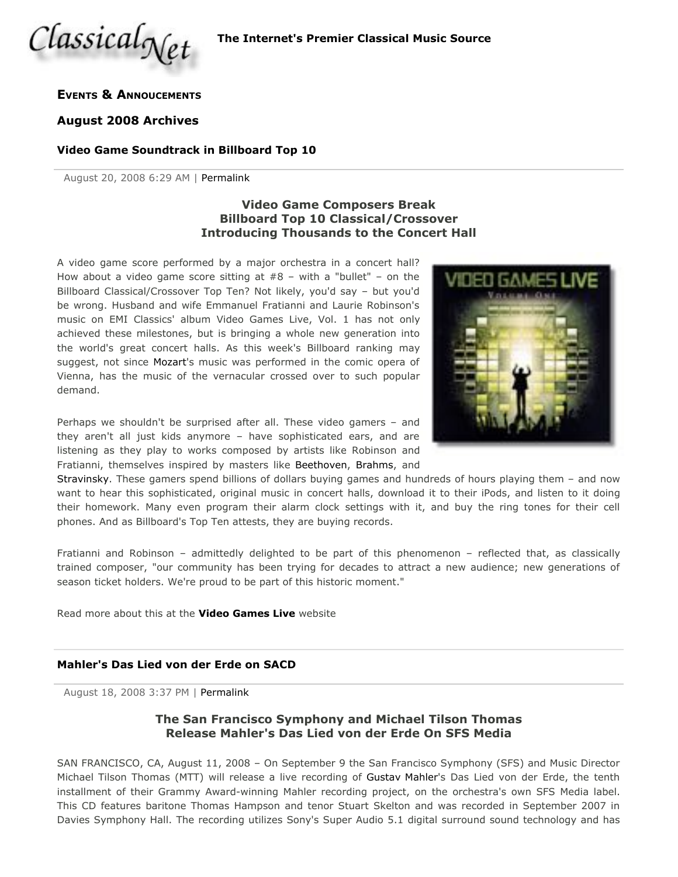

### **EVENTS & ANNOUCEMENTS**

#### **August 2008 Archives**

#### **Video Game Soundtrack in Billboard Top 10**

August 20, 2008 6:29 AM | Permalink

# **Video Game Composers Break Billboard Top 10 Classical/Crossover Introducing Thousands to the Concert Hall**

A video game score performed by a major orchestra in a concert hall? How about a video game score sitting at  $#8 -$  with a "bullet" – on the Billboard Classical/Crossover Top Ten? Not likely, you'd say – but you'd be wrong. Husband and wife Emmanuel Fratianni and Laurie Robinson's music on EMI Classics' album Video Games Live, Vol. 1 has not only achieved these milestones, but is bringing a whole new generation into the world's great concert halls. As this week's Billboard ranking may suggest, not since Mozart's music was performed in the comic opera of Vienna, has the music of the vernacular crossed over to such popular demand.

Perhaps we shouldn't be surprised after all. These video gamers – and they aren't all just kids anymore – have sophisticated ears, and are listening as they play to works composed by artists like Robinson and Fratianni, themselves inspired by masters like Beethoven, Brahms, and



Stravinsky. These gamers spend billions of dollars buying games and hundreds of hours playing them – and now want to hear this sophisticated, original music in concert halls, download it to their iPods, and listen to it doing their homework. Many even program their alarm clock settings with it, and buy the ring tones for their cell phones. And as Billboard's Top Ten attests, they are buying records.

Fratianni and Robinson – admittedly delighted to be part of this phenomenon – reflected that, as classically trained composer, "our community has been trying for decades to attract a new audience; new generations of season ticket holders. We're proud to be part of this historic moment."

Read more about this at the **Video Games Live** website

### **Mahler's Das Lied von der Erde on SACD**

August 18, 2008 3:37 PM | Permalink

# **The San Francisco Symphony and Michael Tilson Thomas Release Mahler's Das Lied von der Erde On SFS Media**

SAN FRANCISCO, CA, August 11, 2008 – On September 9 the San Francisco Symphony (SFS) and Music Director Michael Tilson Thomas (MTT) will release a live recording of Gustav Mahler's Das Lied von der Erde, the tenth installment of their Grammy Award-winning Mahler recording project, on the orchestra's own SFS Media label. This CD features baritone Thomas Hampson and tenor Stuart Skelton and was recorded in September 2007 in Davies Symphony Hall. The recording utilizes Sony's Super Audio 5.1 digital surround sound technology and has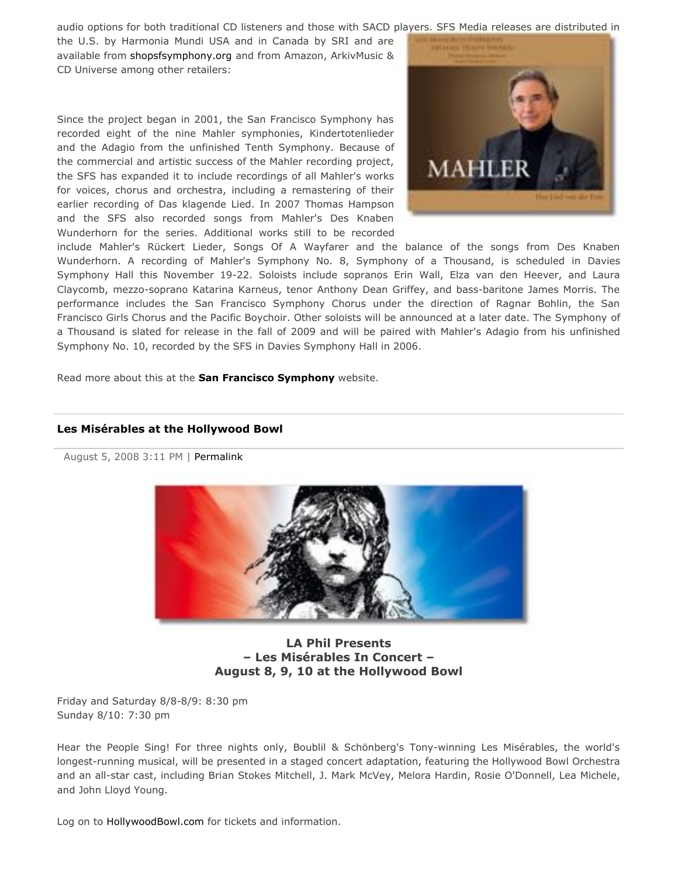audio options for both traditional CD listeners and those with SACD players. SFS Media releases are distributed in

the U.S. by Harmonia Mundi USA and in Canada by SRI and are available from shopsfsymphony.org and from Amazon, ArkivMusic & CD Universe among other retailers:

Since the project began in 2001, the San Francisco Symphony has recorded eight of the nine Mahler symphonies, Kindertotenlieder and the Adagio from the unfinished Tenth Symphony. Because of the commercial and artistic success of the Mahler recording project, the SFS has expanded it to include recordings of all Mahler's works for voices, chorus and orchestra, including a remastering of their earlier recording of Das klagende Lied. In 2007 Thomas Hampson and the SFS also recorded songs from Mahler's Des Knaben Wunderhorn for the series. Additional works still to be recorded



include Mahler's Rückert Lieder, Songs Of A Wayfarer and the balance of the songs from Des Knaben Wunderhorn. A recording of Mahler's Symphony No. 8, Symphony of a Thousand, is scheduled in Davies Symphony Hall this November 19-22. Soloists include sopranos Erin Wall, Elza van den Heever, and Laura Claycomb, mezzo-soprano Katarina Karneus, tenor Anthony Dean Griffey, and bass-baritone James Morris. The performance includes the San Francisco Symphony Chorus under the direction of Ragnar Bohlin, the San Francisco Girls Chorus and the Pacific Boychoir. Other soloists will be announced at a later date. The Symphony of a Thousand is slated for release in the fall of 2009 and will be paired with Mahler's Adagio from his unfinished Symphony No. 10, recorded by the SFS in Davies Symphony Hall in 2006.

Read more about this at the **San Francisco Symphony** website.

### **Les Misérables at the Hollywood Bowl**

August 5, 2008 3:11 PM | Permalink



**LA Phil Presents – Les Misérables In Concert – August 8, 9, 10 at the Hollywood Bowl**

Friday and Saturday 8/8-8/9: 8:30 pm Sunday 8/10: 7:30 pm

Hear the People Sing! For three nights only, Boublil & Schönberg's Tony-winning Les Misérables, the world's longest-running musical, will be presented in a staged concert adaptation, featuring the Hollywood Bowl Orchestra and an all-star cast, including Brian Stokes Mitchell, J. Mark McVey, Melora Hardin, Rosie O'Donnell, Lea Michele, and John Lloyd Young.

Log on to HollywoodBowl.com for tickets and information.